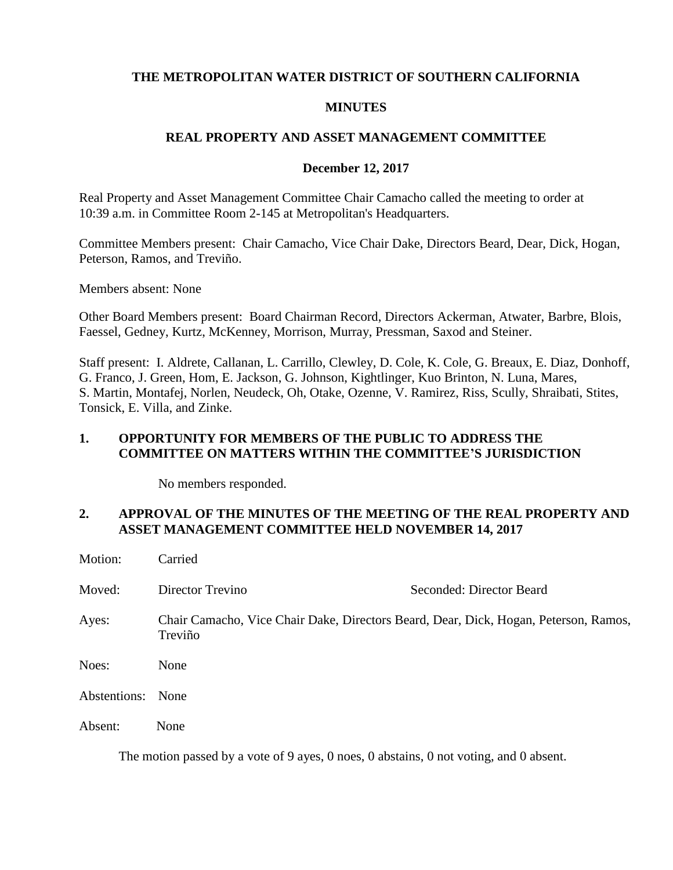### **THE METROPOLITAN WATER DISTRICT OF SOUTHERN CALIFORNIA**

#### **MINUTES**

### **REAL PROPERTY AND ASSET MANAGEMENT COMMITTEE**

#### **December 12, 2017**

Real Property and Asset Management Committee Chair Camacho called the meeting to order at 10:39 a.m. in Committee Room 2-145 at Metropolitan's Headquarters.

Committee Members present: Chair Camacho, Vice Chair Dake, Directors Beard, Dear, Dick, Hogan, Peterson, Ramos, and Treviño.

Members absent: None

Other Board Members present: Board Chairman Record, Directors Ackerman, Atwater, Barbre, Blois, Faessel, Gedney, Kurtz, McKenney, Morrison, Murray, Pressman, Saxod and Steiner.

Staff present: I. Aldrete, Callanan, L. Carrillo, Clewley, D. Cole, K. Cole, G. Breaux, E. Diaz, Donhoff, G. Franco, J. Green, Hom, E. Jackson, G. Johnson, Kightlinger, Kuo Brinton, N. Luna, Mares, S. Martin, Montafej, Norlen, Neudeck, Oh, Otake, Ozenne, V. Ramirez, Riss, Scully, Shraibati, Stites, Tonsick, E. Villa, and Zinke.

## **1. OPPORTUNITY FOR MEMBERS OF THE PUBLIC TO ADDRESS THE COMMITTEE ON MATTERS WITHIN THE COMMITTEE'S JURISDICTION**

No members responded.

### **2. APPROVAL OF THE MINUTES OF THE MEETING OF THE REAL PROPERTY AND ASSET MANAGEMENT COMMITTEE HELD NOVEMBER 14, 2017**

| Motion:      | Carried                                                                                         |                          |
|--------------|-------------------------------------------------------------------------------------------------|--------------------------|
| Moved:       | Director Trevino                                                                                | Seconded: Director Beard |
| Ayes:        | Chair Camacho, Vice Chair Dake, Directors Beard, Dear, Dick, Hogan, Peterson, Ramos,<br>Treviño |                          |
| Noes:        | None                                                                                            |                          |
| Abstentions: | None                                                                                            |                          |
| Absent:      | None                                                                                            |                          |

The motion passed by a vote of 9 ayes, 0 noes, 0 abstains, 0 not voting, and 0 absent.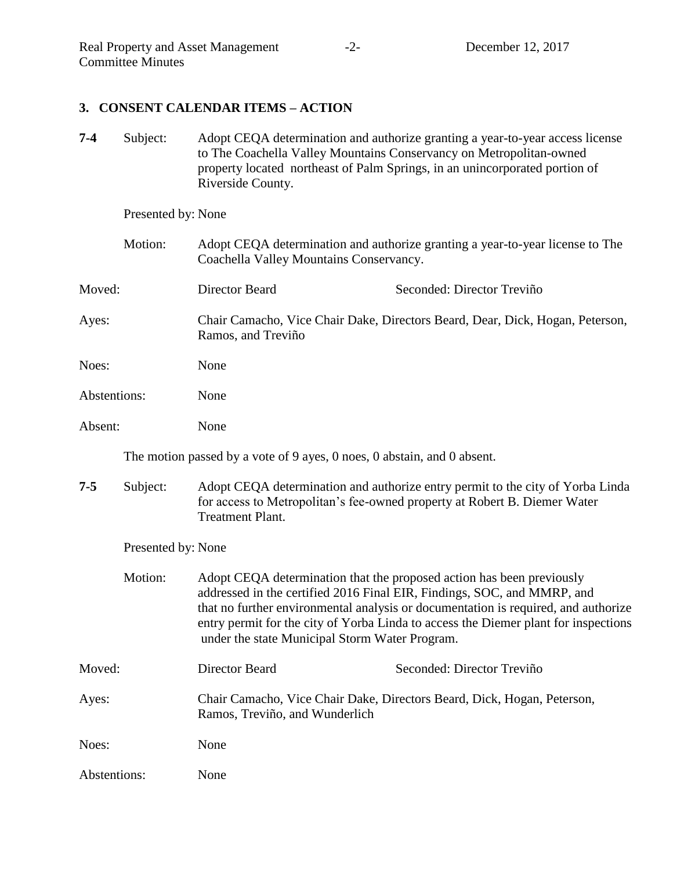## **3. CONSENT CALENDAR ITEMS – ACTION**

**7-4** Subject: Adopt CEQA determination and authorize granting a year-to-year access license to The Coachella Valley Mountains Conservancy on Metropolitan-owned property located northeast of Palm Springs, in an unincorporated portion of Riverside County.

Presented by: None

| Motion:      | Adopt CEQA determination and authorize granting a year-to-year license to The<br>Coachella Valley Mountains Conservancy. |  |
|--------------|--------------------------------------------------------------------------------------------------------------------------|--|
| Moved:       | Director Beard<br>Seconded: Director Treviño                                                                             |  |
| Ayes:        | Chair Camacho, Vice Chair Dake, Directors Beard, Dear, Dick, Hogan, Peterson,<br>Ramos, and Treviño                      |  |
| Noes:        | None                                                                                                                     |  |
| Abstentions: | None                                                                                                                     |  |
| Absent:      | None                                                                                                                     |  |

The motion passed by a vote of 9 ayes, 0 noes, 0 abstain, and 0 absent.

**7-5** Subject: Adopt CEQA determination and authorize entry permit to the city of Yorba Linda for access to Metropolitan's fee-owned property at Robert B. Diemer Water Treatment Plant.

Presented by: None

| Motion:      | Adopt CEQA determination that the proposed action has been previously<br>addressed in the certified 2016 Final EIR, Findings, SOC, and MMRP, and<br>that no further environmental analysis or documentation is required, and authorize<br>entry permit for the city of Yorba Linda to access the Diemer plant for inspections<br>under the state Municipal Storm Water Program. |                            |
|--------------|---------------------------------------------------------------------------------------------------------------------------------------------------------------------------------------------------------------------------------------------------------------------------------------------------------------------------------------------------------------------------------|----------------------------|
| Moved:       | Director Beard                                                                                                                                                                                                                                                                                                                                                                  | Seconded: Director Treviño |
| Ayes:        | Chair Camacho, Vice Chair Dake, Directors Beard, Dick, Hogan, Peterson,<br>Ramos, Treviño, and Wunderlich                                                                                                                                                                                                                                                                       |                            |
| Noes:        | None                                                                                                                                                                                                                                                                                                                                                                            |                            |
| Abstentions: | None                                                                                                                                                                                                                                                                                                                                                                            |                            |